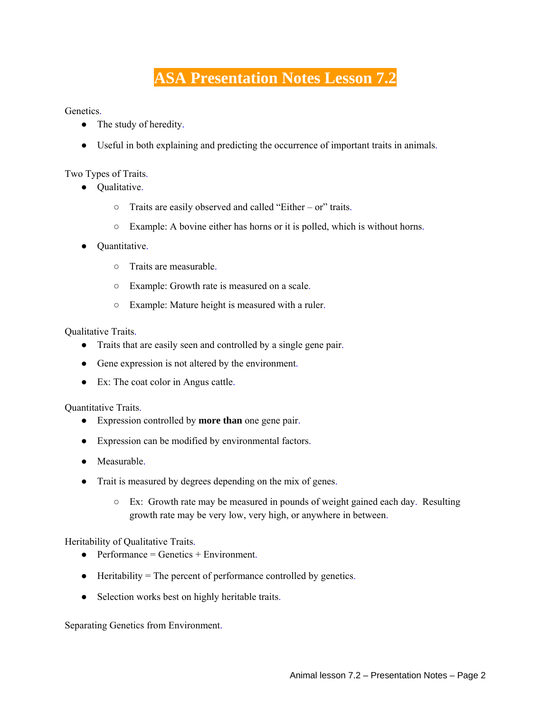## **ASA Presentation Notes Lesson 7.2**

Genetics.

- The study of heredity.
- Useful in both explaining and predicting the occurrence of important traits in animals.

Two Types of Traits.

- Qualitative.
	- Traits are easily observed and called "Either or" traits.
	- Example: A bovine either has horns or it is polled, which is without horns.
- Quantitative.
	- Traits are measurable.
	- Example: Growth rate is measured on a scale.
	- Example: Mature height is measured with a ruler.

Qualitative Traits.

- Traits that are easily seen and controlled by a single gene pair.
- Gene expression is not altered by the environment.
- Ex: The coat color in Angus cattle.

Quantitative Traits.

- Expression controlled by **more than** one gene pair.
- Expression can be modified by environmental factors.
- Measurable.
- Trait is measured by degrees depending on the mix of genes.
	- Ex: Growth rate may be measured in pounds of weight gained each day. Resulting growth rate may be very low, very high, or anywhere in between.

Heritability of Qualitative Traits.

- $\bullet$  Performance = Genetics + Environment.
- Heritability = The percent of performance controlled by genetics.
- Selection works best on highly heritable traits.

Separating Genetics from Environment.